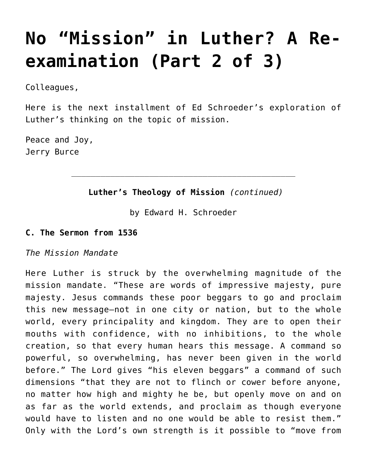# **[No "Mission" in Luther? A Re](https://crossings.org/no-mission-in-luther-a-re-examination-part-2-of-3/)[examination \(Part 2 of 3\)](https://crossings.org/no-mission-in-luther-a-re-examination-part-2-of-3/)**

Colleagues,

Here is the next installment of Ed Schroeder's exploration of Luther's thinking on the topic of mission.

Peace and Joy, Jerry Burce

### **Luther's Theology of Mission** *(continued)*

by Edward H. Schroeder

#### **C. The Sermon from 1536**

*The Mission Mandate*

Here Luther is struck by the overwhelming magnitude of the mission mandate. "These are words of impressive majesty, pure majesty. Jesus commands these poor beggars to go and proclaim this new message—not in one city or nation, but to the whole world, every principality and kingdom. They are to open their mouths with confidence, with no inhibitions, to the whole creation, so that every human hears this message. A command so powerful, so overwhelming, has never been given in the world before." The Lord gives "his eleven beggars" a command of such dimensions "that they are not to flinch or cower before anyone, no matter how high and mighty he be, but openly move on and on as far as the world extends, and proclaim as though everyone would have to listen and no one would be able to resist them." Only with the Lord's own strength is it possible to "move from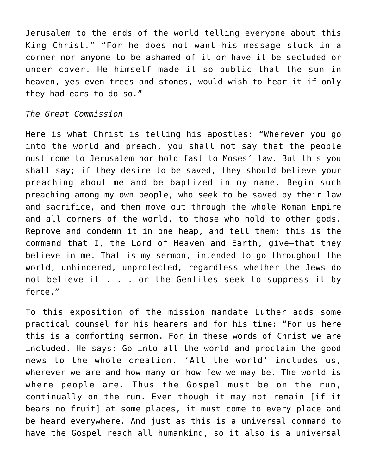Jerusalem to the ends of the world telling everyone about this King Christ." "For he does not want his message stuck in a corner nor anyone to be ashamed of it or have it be secluded or under cover. He himself made it so public that the sun in heaven, yes even trees and stones, would wish to hear it—if only they had ears to do so."

#### *The Great Commission*

Here is what Christ is telling his apostles: "Wherever you go into the world and preach, you shall not say that the people must come to Jerusalem nor hold fast to Moses' law. But this you shall say; if they desire to be saved, they should believe your preaching about me and be baptized in my name. Begin such preaching among my own people, who seek to be saved by their law and sacrifice, and then move out through the whole Roman Empire and all corners of the world, to those who hold to other gods. Reprove and condemn it in one heap, and tell them: this is the command that I, the Lord of Heaven and Earth, give—that they believe in me. That is my sermon, intended to go throughout the world, unhindered, unprotected, regardless whether the Jews do not believe it . . . or the Gentiles seek to suppress it by force."

To this exposition of the mission mandate Luther adds some practical counsel for his hearers and for his time: "For us here this is a comforting sermon. For in these words of Christ we are included. He says: Go into all the world and proclaim the good news to the whole creation. 'All the world' includes us, wherever we are and how many or how few we may be. The world is where people are. Thus the Gospel must be on the run, continually on the run. Even though it may not remain [if it bears no fruit] at some places, it must come to every place and be heard everywhere. And just as this is a universal command to have the Gospel reach all humankind, so it also is a universal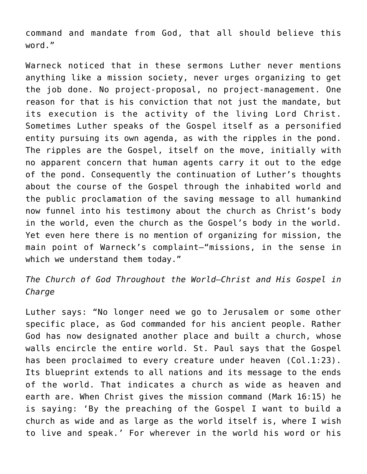command and mandate from God, that all should believe this word."

Warneck noticed that in these sermons Luther never mentions anything like a mission society, never urges organizing to get the job done. No project-proposal, no project-management. One reason for that is his conviction that not just the mandate, but its execution is the activity of the living Lord Christ. Sometimes Luther speaks of the Gospel itself as a personified entity pursuing its own agenda, as with the ripples in the pond. The ripples are the Gospel, itself on the move, initially with no apparent concern that human agents carry it out to the edge of the pond. Consequently the continuation of Luther's thoughts about the course of the Gospel through the inhabited world and the public proclamation of the saving message to all humankind now funnel into his testimony about the church as Christ's body in the world, even the church as the Gospel's body in the world. Yet even here there is no mention of organizing for mission, the main point of Warneck's complaint—"missions, in the sense in which we understand them today."

*The Church of God Throughout the World—Christ and His Gospel in Charge*

Luther says: "No longer need we go to Jerusalem or some other specific place, as God commanded for his ancient people. Rather God has now designated another place and built a church, whose walls encircle the entire world. St. Paul says that the Gospel has been proclaimed to every creature under heaven (Col.1:23). Its blueprint extends to all nations and its message to the ends of the world. That indicates a church as wide as heaven and earth are. When Christ gives the mission command (Mark 16:15) he is saying: 'By the preaching of the Gospel I want to build a church as wide and as large as the world itself is, where I wish to live and speak.' For wherever in the world his word or his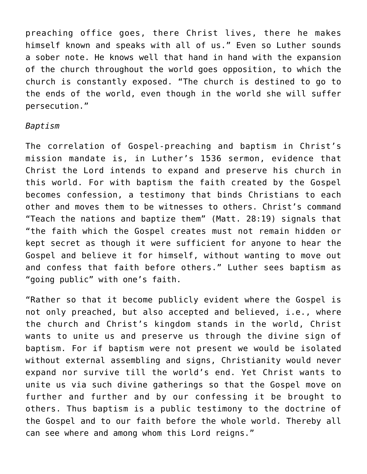preaching office goes, there Christ lives, there he makes himself known and speaks with all of us." Even so Luther sounds a sober note. He knows well that hand in hand with the expansion of the church throughout the world goes opposition, to which the church is constantly exposed. "The church is destined to go to the ends of the world, even though in the world she will suffer persecution."

#### *Baptism*

The correlation of Gospel-preaching and baptism in Christ's mission mandate is, in Luther's 1536 sermon, evidence that Christ the Lord intends to expand and preserve his church in this world. For with baptism the faith created by the Gospel becomes confession, a testimony that binds Christians to each other and moves them to be witnesses to others. Christ's command "Teach the nations and baptize them" (Matt. 28:19) signals that "the faith which the Gospel creates must not remain hidden or kept secret as though it were sufficient for anyone to hear the Gospel and believe it for himself, without wanting to move out and confess that faith before others." Luther sees baptism as "going public" with one's faith.

"Rather so that it become publicly evident where the Gospel is not only preached, but also accepted and believed, i.e., where the church and Christ's kingdom stands in the world, Christ wants to unite us and preserve us through the divine sign of baptism. For if baptism were not present we would be isolated without external assembling and signs, Christianity would never expand nor survive till the world's end. Yet Christ wants to unite us via such divine gatherings so that the Gospel move on further and further and by our confessing it be brought to others. Thus baptism is a public testimony to the doctrine of the Gospel and to our faith before the whole world. Thereby all can see where and among whom this Lord reigns."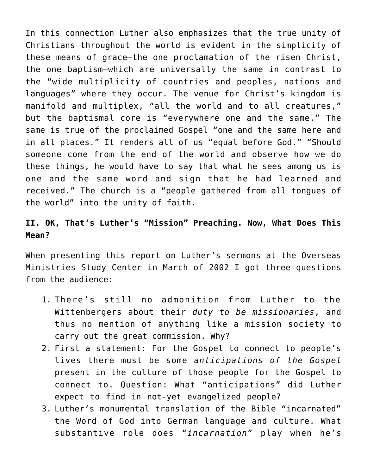In this connection Luther also emphasizes that the true unity of Christians throughout the world is evident in the simplicity of these means of grace—the one proclamation of the risen Christ, the one baptism—which are universally the same in contrast to the "wide multiplicity of countries and peoples, nations and languages" where they occur. The venue for Christ's kingdom is manifold and multiplex, "all the world and to all creatures," but the baptismal core is "everywhere one and the same." The same is true of the proclaimed Gospel "one and the same here and in all places." It renders all of us "equal before God." "Should someone come from the end of the world and observe how we do these things, he would have to say that what he sees among us is one and the same word and sign that he had learned and received." The church is a "people gathered from all tongues of the world" into the unity of faith.

# **II. OK, That's Luther's "Mission" Preaching. Now, What Does This Mean?**

When presenting this report on Luther's sermons at the Overseas Ministries Study Center in March of 2002 I got three questions from the audience:

- 1. There's still no admonition from Luther to the Wittenbergers about their *duty to be missionaries*, and thus no mention of anything like a mission society to carry out the great commission. Why?
- 2. First a statement: For the Gospel to connect to people's lives there must be some *anticipations of the Gospel* present in the culture of those people for the Gospel to connect to. Question: What "anticipations" did Luther expect to find in not-yet evangelized people?
- 3. Luther's monumental translation of the Bible "incarnated" the Word of God into German language and culture. What substantive role does "*incarnation*" play when he's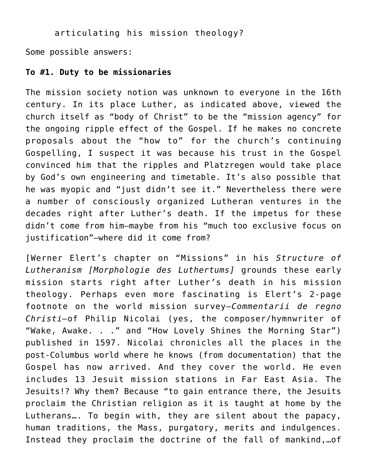articulating his mission theology?

Some possible answers:

#### **To #1. Duty to be missionaries**

The mission society notion was unknown to everyone in the 16th century. In its place Luther, as indicated above, viewed the church itself as "body of Christ" to be the "mission agency" for the ongoing ripple effect of the Gospel. If he makes no concrete proposals about the "how to" for the church's continuing Gospelling, I suspect it was because his trust in the Gospel convinced him that the ripples and Platzregen would take place by God's own engineering and timetable. It's also possible that he was myopic and "just didn't see it." Nevertheless there were a number of consciously organized Lutheran ventures in the decades right after Luther's death. If the impetus for these didn't come from him—maybe from his "much too exclusive focus on justification"—where did it come from?

[Werner Elert's chapter on "Missions" in his *Structure of Lutheranism [Morphologie des Luthertums]* grounds these early mission starts right after Luther's death in his mission theology. Perhaps even more fascinating is Elert's 2-page footnote on the world mission survey—*Commentarii de regno Christi—*of Philip Nicolai (yes, the composer/hymnwriter of "Wake, Awake. . ." and "How Lovely Shines the Morning Star") published in 1597. Nicolai chronicles all the places in the post-Columbus world where he knows (from documentation) that the Gospel has now arrived. And they cover the world. He even includes 13 Jesuit mission stations in Far East Asia. The Jesuits!? Why them? Because "to gain entrance there, the Jesuits proclaim the Christian religion as it is taught at home by the Lutherans…. To begin with, they are silent about the papacy, human traditions, the Mass, purgatory, merits and indulgences. Instead they proclaim the doctrine of the fall of mankind,…of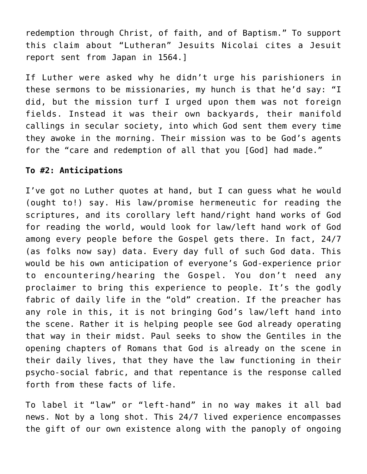redemption through Christ, of faith, and of Baptism." To support this claim about "Lutheran" Jesuits Nicolai cites a Jesuit report sent from Japan in 1564.]

If Luther were asked why he didn't urge his parishioners in these sermons to be missionaries, my hunch is that he'd say: "I did, but the mission turf I urged upon them was not foreign fields. Instead it was their own backyards, their manifold callings in secular society, into which God sent them every time they awoke in the morning. Their mission was to be God's agents for the "care and redemption of all that you [God] had made."

# **To #2: Anticipations**

I've got no Luther quotes at hand, but I can guess what he would (ought to!) say. His law/promise hermeneutic for reading the scriptures, and its corollary left hand/right hand works of God for reading the world, would look for law/left hand work of God among every people before the Gospel gets there. In fact, 24/7 (as folks now say) data. Every day full of such God data. This would be his own anticipation of everyone's God-experience prior to encountering/hearing the Gospel. You don't need any proclaimer to bring this experience to people. It's the godly fabric of daily life in the "old" creation. If the preacher has any role in this, it is not bringing God's law/left hand into the scene. Rather it is helping people see God already operating that way in their midst. Paul seeks to show the Gentiles in the opening chapters of Romans that God is already on the scene in their daily lives, that they have the law functioning in their psycho-social fabric, and that repentance is the response called forth from these facts of life.

To label it "law" or "left-hand" in no way makes it all bad news. Not by a long shot. This 24/7 lived experience encompasses the gift of our own existence along with the panoply of ongoing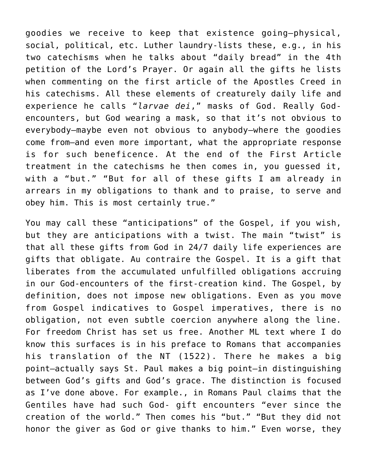goodies we receive to keep that existence going—physical, social, political, etc. Luther laundry-lists these, e.g., in his two catechisms when he talks about "daily bread" in the 4th petition of the Lord's Prayer. Or again all the gifts he lists when commenting on the first article of the Apostles Creed in his catechisms. All these elements of creaturely daily life and experience he calls "*larvae dei*," masks of God. Really Godencounters, but God wearing a mask, so that it's not obvious to everybody—maybe even not obvious to anybody—where the goodies come from—and even more important, what the appropriate response is for such beneficence. At the end of the First Article treatment in the catechisms he then comes in, you guessed it, with a "but." "But for all of these gifts I am already in arrears in my obligations to thank and to praise, to serve and obey him. This is most certainly true."

You may call these "anticipations" of the Gospel, if you wish, but they are anticipations with a twist. The main "twist" is that all these gifts from God in 24/7 daily life experiences are gifts that obligate. Au contraire the Gospel. It is a gift that liberates from the accumulated unfulfilled obligations accruing in our God-encounters of the first-creation kind. The Gospel, by definition, does not impose new obligations. Even as you move from Gospel indicatives to Gospel imperatives, there is no obligation, not even subtle coercion anywhere along the line. For freedom Christ has set us free. Another ML text where I do know this surfaces is in his preface to Romans that accompanies his translation of the NT (1522). There he makes a big point—actually says St. Paul makes a big point—in distinguishing between God's gifts and God's grace. The distinction is focused as I've done above. For example., in Romans Paul claims that the Gentiles have had such God- gift encounters "ever since the creation of the world." Then comes his "but." "But they did not honor the giver as God or give thanks to him." Even worse, they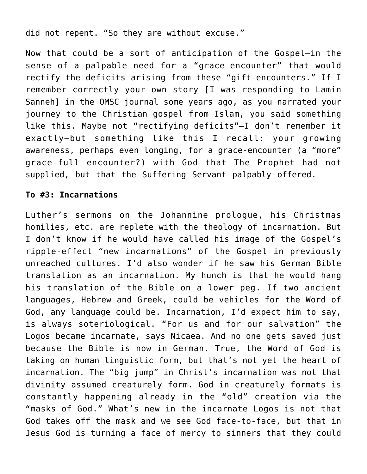did not repent. "So they are without excuse."

Now that could be a sort of anticipation of the Gospel—in the sense of a palpable need for a "grace-encounter" that would rectify the deficits arising from these "gift-encounters." If I remember correctly your own story [I was responding to Lamin Sanneh] in the OMSC journal some years ago, as you narrated your journey to the Christian gospel from Islam, you said something like this. Maybe not "rectifying deficits"—I don't remember it exactly—but something like this I recall: your growing awareness, perhaps even longing, for a grace-encounter (a "more" grace-full encounter?) with God that The Prophet had not supplied, but that the Suffering Servant palpably offered.

# **To #3: Incarnations**

Luther's sermons on the Johannine prologue, his Christmas homilies, etc. are replete with the theology of incarnation. But I don't know if he would have called his image of the Gospel's ripple-effect "new incarnations" of the Gospel in previously unreached cultures. I'd also wonder if he saw his German Bible translation as an incarnation. My hunch is that he would hang his translation of the Bible on a lower peg. If two ancient languages, Hebrew and Greek, could be vehicles for the Word of God, any language could be. Incarnation, I'd expect him to say, is always soteriological. "For us and for our salvation" the Logos became incarnate, says Nicaea. And no one gets saved just because the Bible is now in German. True, the Word of God is taking on human linguistic form, but that's not yet the heart of incarnation. The "big jump" in Christ's incarnation was not that divinity assumed creaturely form. God in creaturely formats is constantly happening already in the "old" creation via the "masks of God." What's new in the incarnate Logos is not that God takes off the mask and we see God face-to-face, but that in Jesus God is turning a face of mercy to sinners that they could